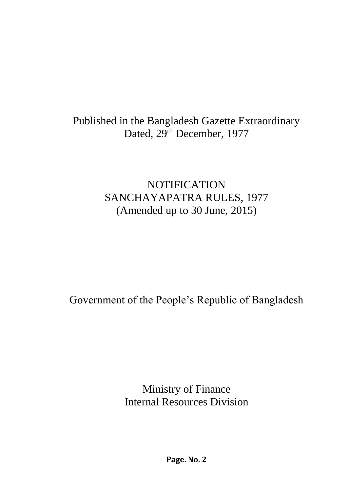# Published in the Bangladesh Gazette Extraordinary Dated, 29<sup>th</sup> December, 1977

# **NOTIFICATION** SANCHAYAPATRA RULES, 1977 (Amended up to 30 June, 2015)

Government of the People's Republic of Bangladesh

Ministry of Finance Internal Resources Division

**Page. No. 2**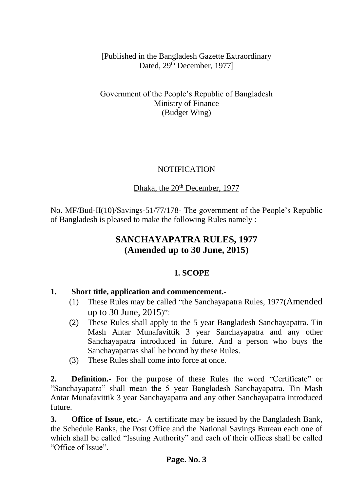[Published in the Bangladesh Gazette Extraordinary Dated, 29<sup>th</sup> December, 1977]

Government of the People's Republic of Bangladesh Ministry of Finance (Budget Wing)

### NOTIFICATION

# Dhaka, the 20<sup>th</sup> December, 1977

No. MF/Bud-II(10)/Savings-51/77/178- The government of the People's Republic of Bangladesh is pleased to make the following Rules namely :

# **SANCHAYAPATRA RULES, 1977 (Amended up to 30 June, 2015)**

# **1. SCOPE**

# **1. Short title, application and commencement.-**

- (1) These Rules may be called "the Sanchayapatra Rules, 1977(Amended up to 30 June, 2015)":
- (2) These Rules shall apply to the 5 year Bangladesh Sanchayapatra. Tin Mash Antar Munafavittik 3 year Sanchayapatra and any other Sanchayapatra introduced in future. And a person who buys the Sanchayapatras shall be bound by these Rules.
- (3) These Rules shall come into force at once.

**2. Definition.-** For the purpose of these Rules the word "Certificate" or "Sanchayapatra" shall mean the 5 year Bangladesh Sanchayapatra. Tin Mash Antar Munafavittik 3 year Sanchayapatra and any other Sanchayapatra introduced future.

**3. Office of Issue, etc.-** A certificate may be issued by the Bangladesh Bank, the Schedule Banks, the Post Office and the National Savings Bureau each one of which shall be called "Issuing Authority" and each of their offices shall be called "Office of Issue".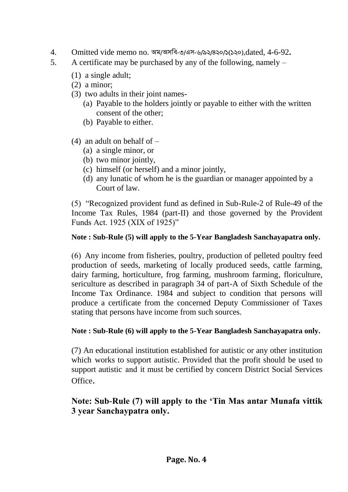- 4. Omitted vide memo no. অম/অসবি-৩/এস-৬/৯২/৪২০/১(১২০),dated, 4-6-92**.**
- 5. A certificate may be purchased by any of the following, namely
	- (1) a single adult;
	- (2) a minor;
	- (3) two adults in their joint names-
		- (a) Payable to the holders jointly or payable to either with the written consent of the other;
		- (b) Payable to either.
	- (4) an adult on behalf of  $-$ 
		- (a) a single minor, or
		- (b) two minor jointly,
		- (c) himself (or herself) and a minor jointly,
		- (d) any lunatic of whom he is the guardian or manager appointed by a Court of law.

(5) "Recognized provident fund as defined in Sub-Rule-2 of Rule-49 of the Income Tax Rules, 1984 (part-II) and those governed by the Provident Funds Act. 1925 (XIX of 1925)"

### **Note : Sub-Rule (5) will apply to the 5-Year Bangladesh Sanchayapatra only.**

(6) Any income from fisheries, poultry, production of pelleted poultry feed production of seeds, marketing of locally produced seeds, cattle farming, dairy farming, horticulture, frog farming, mushroom farming, floriculture, sericulture as described in paragraph 34 of part-A of Sixth Schedule of the Income Tax Ordinance. 1984 and subject to condition that persons will produce a certificate from the concerned Deputy Commissioner of Taxes stating that persons have income from such sources.

### **Note : Sub-Rule (6) will apply to the 5-Year Bangladesh Sanchayapatra only.**

(7) An educational institution established for autistic or any other institution which works to support autistic. Provided that the profit should be used to support autistic and it must be certified by concern District Social Services Office.

# **Note: Sub-Rule (7) will apply to the 'Tin Mas antar Munafa vittik 3 year Sanchaypatra only.**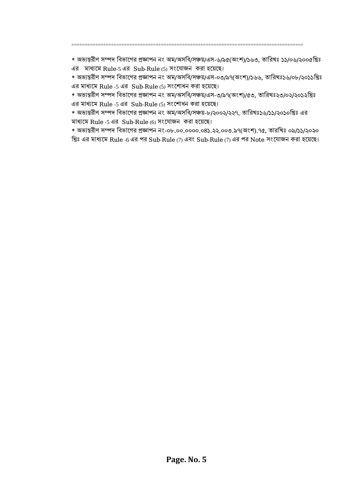\* অভ্যন্তরীণ সম্পদ বিভ্াগের প্রজ্ঞাপন নং অম/অসবি/সঞ্চয়/এস-৬/৯৫(অংশ)/১৬৩, তাবরখঃ ১১/০৬/২০০৫বরঃ এর মাধ্যমে Rule-5 এর Sub-Rule (5) সংযোজন করা হয়েছে।

========================================================================================

\* অভ্যন্তরীণ সম্পদ বিভ্াগের প্রজ্ঞাপন নং অম/অসবি/সঞ্চয়/এস-০৩/৯৭(অংশ)/১৬৬, তাবরখঃ১৬/০৮/২০১১বরঃ এর মাধ্যগম Rule -5 এর Sub-Rule (5) সংগশাধন করা হগয়গে।

\* অভ্যন্তরীণ সম্পদ বিভ্াগের প্রজ্ঞাপন নং অম/অসবি/সঞ্চয়/এস-৩/৯৭(অংশ)/৫৩, তাবরখঃ২৩/০২/২০১২বরঃ এর মাধ্যগম Rule -5 এর Sub-Rule (5) সংগশাধন করা হগয়গে।

\* অভ্যন্তরীণ সম্পদ বিভ্াগের প্রজ্ঞাপন নং অম/অসবি/সঞ্চয়-৮/২০০২/২২৭, তাবরখঃ১৬/১১/২০১০বরঃ এর মাধ্যমে Rule -5 এর Sub-Rule  $(6)$  সংযোজন করা হয়েছে।

\* অভ্যন্তরীণ সম্পদ বিভ্াগের প্রজ্ঞাপন নং-০৮.০০.০০০০.০৪১.২২.০০৩.৯৭(অংশ).৭৫, তারবখঃ ০৯/১১/২০২০ খ্রিঃ এর মাধ্যমে Rule -6 এর পর Sub-Rule (7) এবং Sub-Rule (7) এর পর Note সংযোজন করা হয়েছে।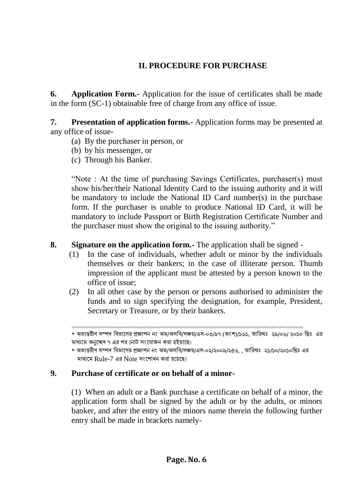# **II. PROCEDURE FOR PURCHASE**

**6. Application Form.-** Application for the issue of certificates shall be made in the form (SC-1) obtainable free of charge from any office of issue.

**7. Presentation of application forms.-** Application forms may be presented at any office of issue-

- (a) By the purchaser in person, or
- (b) by his messenger, or
- (c) Through his Banker.

"Note : At the time of purchasing Savings Certificates, purchaser(s) must show his/her/their National Identity Card to the issuing authority and it will be mandatory to include the National ID Card number(s) in the purchase form. If the purchaser is unable to produce National ID Card, it will be mandatory to include Passport or Birth Registration Certificate Number and the purchaser must show the original to the issuing authority."

#### **8. Signature on the application form.-** The application shall be signed -

- (1) In the case of individuals, whether adult or minor by the individuals themselves or their bankers; in the case of illiterate person. Thumb impression of the applicant must be attested by a person known to the office of issue;
- (2) In all other case by the person or persons authorised to administer the funds and to sign specifying the designation, for example, President, Secretary or Treasure, or by their bankers.

========================================================================================

#### **9. Purchase of certificate or on behalf of a minor-**

(1) When an adult or a Bank purchase a certificate on behalf of a minor, the application form shall be signed by the adult or by the adults, or minors banker, and after the entry of the minors name therein the following further entry shall be made in brackets namely-

<sup>\*</sup> অভ্যন্তরীণ সম্পদ বিভ্াগের প্রজ্ঞাপন নং অম/অসবি/সঞ্চয়/এস-০৩/৯৭ (অংশ)/১৬১, তাবরখঃ ২৯/০৬/ ২০১০ বরঃ এর মাধ্যমে অনুচ্ছেদ ৭ এর পর নোট সংযোজন করা হইয়াছে।

<sup>\*</sup> অভ্যন্তরীণ সম্পদ বিভ্াগের প্রজ্ঞাপন নং অম/অসবি/সঞ্চয়/এস-০২/২০০৯/২৫৬, , তাবরখঃ ২১/১০/২০১০বরঃ এর মাধ্যগম Rule-7 এর Note সংগশাধন করা হগয়গে।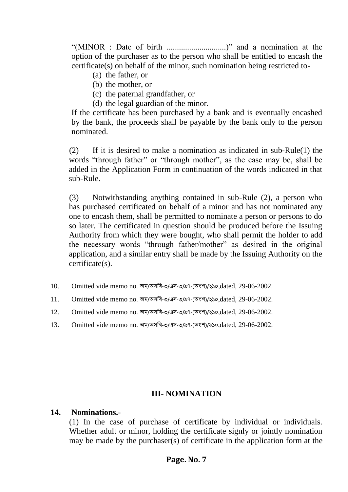"(MINOR : Date of birth .............................)" and a nomination at the option of the purchaser as to the person who shall be entitled to encash the certificate(s) on behalf of the minor, such nomination being restricted to-

- (a) the father, or
- (b) the mother, or
- (c) the paternal grandfather, or
- (d) the legal guardian of the minor.

If the certificate has been purchased by a bank and is eventually encashed by the bank, the proceeds shall be payable by the bank only to the person nominated.

(2) If it is desired to make a nomination as indicated in sub-Rule(1) the words "through father" or "through mother", as the case may be, shall be added in the Application Form in continuation of the words indicated in that sub-Rule.

(3) Notwithstanding anything contained in sub-Rule (2), a person who has purchased certificated on behalf of a minor and has not nominated any one to encash them, shall be permitted to nominate a person or persons to do so later. The certificated in question should be produced before the Issuing Authority from which they were bought, who shall permit the holder to add the necessary words "through father/mother" as desired in the original application, and a similar entry shall be made by the Issuing Authority on the certificate(s).

- 10. Omitted vide memo no. অম/অসবি-৩/এস-৩/৯৭-(অংশ)/২১০*,*dated, 29-06-2002.
- 11. Omitted vide memo no. অম/অসবি-৩/এস-৩/৯৭-(অংশ)/২১০*,*dated, 29-06-2002.
- 12. Omitted vide memo no. অম/অসবি-৩/এস-৩/৯৭-(অংশ)/২১০*,*dated, 29-06-2002.
- 13. Omitted vide memo no. অম/অসবি-৩/এস-৩/৯৭-(অংশ)/২১০*,*dated, 29-06-2002.

#### **III- NOMINATION**

#### **14. Nominations.-**

(1) In the case of purchase of certificate by individual or individuals. Whether adult or minor, holding the certificate signly or jointly nomination may be made by the purchaser(s) of certificate in the application form at the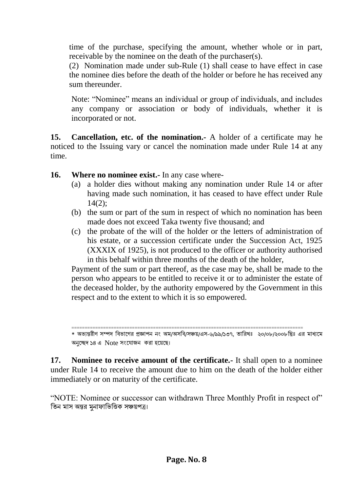time of the purchase, specifying the amount, whether whole or in part, receivable by the nominee on the death of the purchaser(s).

(2) Nomination made under sub-Rule (1) shall cease to have effect in case the nominee dies before the death of the holder or before he has received any sum thereunder.

Note: "Nominee" means an individual or group of individuals, and includes any company or association or body of individuals, whether it is incorporated or not.

**15. Cancellation, etc. of the nomination.-** A holder of a certificate may he noticed to the Issuing vary or cancel the nomination made under Rule 14 at any time.

**16. Where no nominee exist.-** In any case where-

- (a) a holder dies without making any nomination under Rule 14 or after having made such nomination, it has ceased to have effect under Rule 14(2);
- (b) the sum or part of the sum in respect of which no nomination has been made does not exceed Taka twenty five thousand; and
- (c) the probate of the will of the holder or the letters of administration of his estate, or a succession certificate under the Succession Act, 1925 (XXXIX of 1925), is not produced to the officer or authority authorised in this behalf within three months of the death of the holder,

Payment of the sum or part thereof, as the case may be, shall be made to the person who appears to be entitled to receive it or to administer the estate of the deceased holder, by the authority empowered by the Government in this respect and to the extent to which it is so empowered.

**17. Nominee to receive amount of the certificate.-** It shall open to a nominee under Rule 14 to receive the amount due to him on the death of the holder either immediately or on maturity of the certificate.

"NOTE: Nominee or successor can withdrawn Three Monthly Profit in respect of" বতন মাস অন্তর মুনাফাবভ্বিক সঞ্চয়পত্র।

<sup>========================================================================================</sup> \* অভ্যন্তরীণ সম্পদ বিভ্াগের প্রজ্ঞাপন নং অম/অসবি/সঞ্চয়/এস-৬/৯৯/১৩৭, তাবরখঃ ২০/০৮/২০০৮বরঃ এর মাধ্যগম অনুচ্ছেদ ১৪ এ Note সংযোজন করা হয়েছে।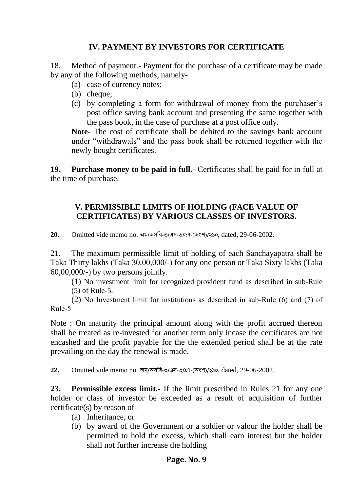### **IV. PAYMENT BY INVESTORS FOR CERTIFICATE**

18. Method of payment.- Payment for the purchase of a certificate may be made by any of the following methods, namely-

- (a) case of currency notes;
- (b) cheque;
- (c) by completing a form for withdrawal of money from the purchaser's post office saving bank account and presenting the same together with the pass book, in the case of purchase at a post office only.

**Note-** The cost of certificate shall be debited to the savings bank account under "withdrawals" and the pass book shall be returned together with the newly bought certificates.

**19. Purchase money to be paid in full.-** Certificates shall be paid for in full at the time of purchase.

### **V. PERMISSIBLE LIMITS OF HOLDING (FACE VALUE OF CERTIFICATES) BY VARIOUS CLASSES OF INVESTORS.**

**20.** Omitted vide memo no. অম/অসবি-৩/এস-৩/৯৭-(অংশ)/২১০, dated, 29-06-2002.

21. The maximum permissible limit of holding of each Sanchayapatra shall be Taka Thirty lakhs (Taka 30,00,000/-) for any one person or Taka Sixty lakhs (Taka 60,00,000/-) by two persons jointly.

(1) No investment limit for recognized provident fund as described in sub-Rule (5) of Rule-5.

(2) No Investment limit for institutions as described in sub-Rule (6) and (7) of Rule-5

Note : On maturity the principal amount along with the profit accrued thereon shall be treated as re-invested for another term only incase the certificates are not encashed and the profit payable for the the extended period shall be at the rate prevailing on the day the renewal is made.

**22.** Omitted vide memo no. অম/অসবি-৩/এস-৩/৯৭-(অংশ)/২১০, dated, 29-06-2002.

**23. Permissible excess limit.-** If the limit prescribed in Rules 21 for any one holder or class of investor be exceeded as a result of acquisition of further certificate(s) by reason of-

- (a) Inheritance, or
- (b) by award of the Government or a soldier or valour the holder shall be permitted to hold the excess, which shall earn interest but the holder shall not further increase the holding

### **Page. No. 9**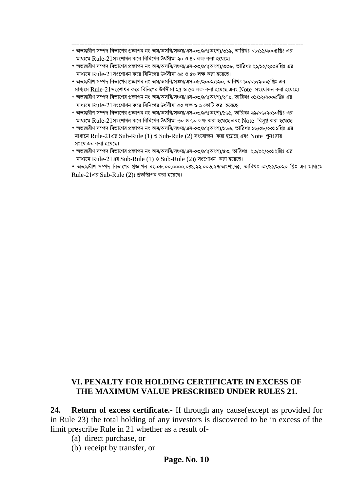- ======================================================================================== \* অভ্যন্তরীণ সম্পদ বিভ্াগের প্রজ্ঞাপন নং অম/অসবি/সঞ্চয়/এস-০৩/৯৭(অংশ)/৩১৯, তাবরখঃ ০৮/১১/২০০৪বরঃ এর মাধ্যগম Rule-21সংগশাধন কগর বিবনগের উধসধীমা ২০ ও ৪০ লক্ষ করা হগয়গে।
- \* অভ্যন্তরীণ সম্পদ বিভ্াগের প্রজ্ঞাপন নং অম/অসবি/সঞ্চয়/এস-০৩/৯৭(অংশ)/৩৩৮, তাবরখঃ ২১/১২/২০০৪বরঃ এর মাধ্যগম Rule-21সংগশাধন কগর বিবনগের উধসধীমা ২৫ ও ৫০ লক্ষ করা হগয়গে।
- \* অভ্যন্তরীণ সম্পদ বিভ্াগের প্রজ্ঞাপন নং অম/অসবি/সঞ্চয়/এস-০৮/২০০২/১৯০, তাবরখঃ ১০/০৮/২০০৫বরঃ এর মাধ্যগম Rule-21সংগশাধন কগর বিবনগের উধসধীমা ২৫ ও ৫০ লক্ষ করা হগয়গে এিং Note সংগ াজন করা হগয়গে।
- \* অভ্যন্তরীণ সম্পদ বিভ্াগের প্রজ্ঞাপন নং অম/অসবি/সঞ্চয়/এস-০৩/৯৭(অংশ)/২৭৯, তাবরখঃ ০১/১২/২০০৫বরঃ এর মাধ্যগম Rule-21সংগশাধন কগর বিবনগের উধসধীমা ৫০ লক্ষ ও ১ নকাটি করা হগয়গে।
- \* অভ্যন্তরীণ সম্পদ বিভ্াগের প্রজ্ঞাপন নং অম/অসবি/সঞ্চয়/এস-০৩/৯৭(অংশ)/১৬১, তাবরখঃ ২৯/০৬/২০১০বরঃ এর মাধ্যগম Rule-21সংগশাধন কগর বিবনগের উধসধীমা ৩০ ও ৬০ লক্ষ করা হগয়গে এিং Note বিলুপ্ত করা হগয়গে।
- \* অভ্যন্তরীণ সম্পদ বিভ্াগের প্রজ্ঞাপন নং অম/অসবি/সঞ্চয়/এস-০৩/৯৭(অংশ)/১৬৬, তাবরখঃ ১৬/০৮/২০১১বরঃ এর মাধ্যমে Rule-21এর Sub-Rule  $(1)$  ও Sub-Rule  $(2)$  সংযোজন করা হয়েছে এবং Note পুনঃরায় সংযোজন করা হয়েছে।
- \* অভ্যন্তরীণ সম্পদ বিভ্াগের প্রজ্ঞাপন নং অম/অসবি/সঞ্চয়/এস-০৩/৯৭(অংশ)/৫৩, তাবরখঃ ২৩/০২/২০১২বরঃ এর মাধ্যগম Rule-21এর Sub-Rule (1) ও Sub-Rule (2)) সংগশাধন করা হগয়গে।
- \* অভ্যন্তরীণ সম্পদ বিভ্াগের প্রজ্ঞাপন নং-০৮.০০.০০০০.০৪১.২২.০০৩.৯৭(অংশ).৭৫, তাবরখঃ ০৯/১১/২০২০ বরঃ এর মাধ্যগম  $Rule-21$ এর  $Sub-Rule(2)$ ) প্রতস্থািপন করা হয়েছে।

### **VI. PENALTY FOR HOLDING CERTIFICATE IN EXCESS OF THE MAXIMUM VALUE PRESCRIBED UNDER RULES 21.**

**24. Return of excess certificate.-** If through any cause(except as provided for in Rule 23) the total holding of any investors is discovered to be in excess of the limit prescribe Rule in 21 whether as a result of-

- (a) direct purchase, or
- (b) receipt by transfer, or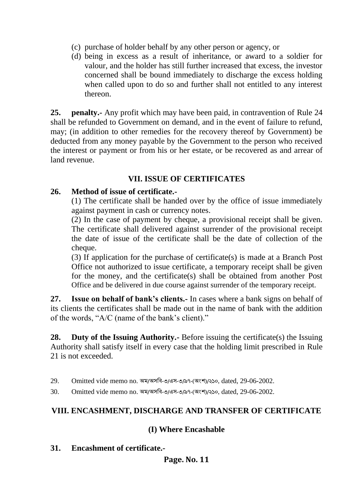- (c) purchase of holder behalf by any other person or agency, or
- (d) being in excess as a result of inheritance, or award to a soldier for valour, and the holder has still further increased that excess, the investor concerned shall be bound immediately to discharge the excess holding when called upon to do so and further shall not entitled to any interest thereon.

**25. penalty.-** Any profit which may have been paid, in contravention of Rule 24 shall be refunded to Government on demand, and in the event of failure to refund, may; (in addition to other remedies for the recovery thereof by Government) be deducted from any money payable by the Government to the person who received the interest or payment or from his or her estate, or be recovered as and arrear of land revenue.

### **VII. ISSUE OF CERTIFICATES**

#### **26. Method of issue of certificate.-**

(1) The certificate shall be handed over by the office of issue immediately against payment in cash or currency notes.

(2) In the case of payment by cheque, a provisional receipt shall be given. The certificate shall delivered against surrender of the provisional receipt the date of issue of the certificate shall be the date of collection of the cheque.

(3) If application for the purchase of certificate(s) is made at a Branch Post Office not authorized to issue certificate, a temporary receipt shall be given for the money, and the certificate(s) shall be obtained from another Post Office and be delivered in due course against surrender of the temporary receipt.

**27. Issue on behalf of bank's clients.-** In cases where a bank signs on behalf of its clients the certificates shall be made out in the name of bank with the addition of the words, "A/C (name of the bank's client)."

**28. Duty of the Issuing Authority.-** Before issuing the certificate(s) the Issuing Authority shall satisfy itself in every case that the holding limit prescribed in Rule 21 is not exceeded.

29. Omitted vide memo no. অম/অসবি-৩/এস-৩/৯৭-(অংশ)/২১০, dated, 29-06-2002.

30. Omitted vide memo no. অম/অসবি-৩/এস-৩/৯৭-(অংশ)/২১০, dated, 29-06-2002.

## **VIII. ENCASHMENT, DISCHARGE AND TRANSFER OF CERTIFICATE**

### **(I) Where Encashable**

**31. Encashment of certificate.-**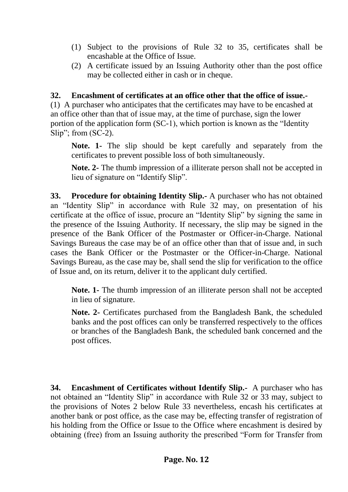- (1) Subject to the provisions of Rule 32 to 35, certificates shall be encashable at the Office of Issue.
- (2) A certificate issued by an Issuing Authority other than the post office may be collected either in cash or in cheque.

### **32. Encashment of certificates at an office other that the office of issue.-**

(1) A purchaser who anticipates that the certificates may have to be encashed at an office other than that of issue may, at the time of purchase, sign the lower portion of the application form (SC-1), which portion is known as the "Identity Slip"; from (SC-2).

**Note. 1-** The slip should be kept carefully and separately from the certificates to prevent possible loss of both simultaneously.

**Note. 2-** The thumb impression of a illiterate person shall not be accepted in lieu of signature on "Identify Slip".

**33. Procedure for obtaining Identity Slip.-** A purchaser who has not obtained an "Identity Slip" in accordance with Rule 32 may, on presentation of his certificate at the office of issue, procure an "Identity Slip" by signing the same in the presence of the Issuing Authority. If necessary, the slip may be signed in the presence of the Bank Officer of the Postmaster or Officer-in-Charge. National Savings Bureaus the case may be of an office other than that of issue and, in such cases the Bank Officer or the Postmaster or the Officer-in-Charge. National Savings Bureau, as the case may be, shall send the slip for verification to the office of Issue and, on its return, deliver it to the applicant duly certified.

**Note. 1-** The thumb impression of an illiterate person shall not be accepted in lieu of signature.

**Note. 2-** Certificates purchased from the Bangladesh Bank, the scheduled banks and the post offices can only be transferred respectively to the offices or branches of the Bangladesh Bank, the scheduled bank concerned and the post offices.

**34. Encashment of Certificates without Identify Slip.-** A purchaser who has not obtained an "Identity Slip" in accordance with Rule 32 or 33 may, subject to the provisions of Notes 2 below Rule 33 nevertheless, encash his certificates at another bank or post office, as the case may be, effecting transfer of registration of his holding from the Office or Issue to the Office where encashment is desired by obtaining (free) from an Issuing authority the prescribed "Form for Transfer from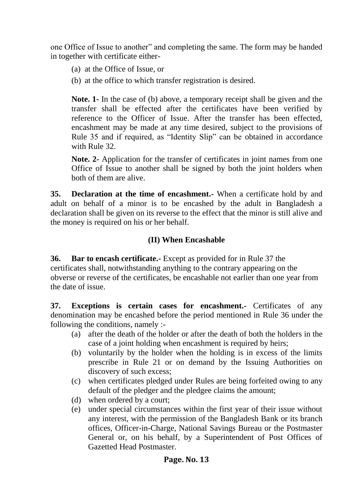one Office of Issue to another" and completing the same. The form may be handed in together with certificate either-

- (a) at the Office of Issue, or
- (b) at the office to which transfer registration is desired.

**Note. 1-** In the case of (b) above, a temporary receipt shall be given and the transfer shall be effected after the certificates have been verified by reference to the Officer of Issue. After the transfer has been effected, encashment may be made at any time desired, subject to the provisions of Rule 35 and if required, as "Identity Slip" can be obtained in accordance with Rule 32.

**Note. 2-** Application for the transfer of certificates in joint names from one Office of Issue to another shall be signed by both the joint holders when both of them are alive.

**35. Declaration at the time of encashment.-** When a certificate hold by and adult on behalf of a minor is to be encashed by the adult in Bangladesh a declaration shall be given on its reverse to the effect that the minor is still alive and the money is required on his or her behalf.

## **(II) When Encashable**

**36. Bar to encash certificate.-** Except as provided for in Rule 37 the certificates shall, notwithstanding anything to the contrary appearing on the obverse or reverse of the certificates, be encashable not earlier than one year from the date of issue.

**37. Exceptions is certain cases for encashment.-** Certificates of any denomination may be encashed before the period mentioned in Rule 36 under the following the conditions, namely :-

- (a) after the death of the holder or after the death of both the holders in the case of a joint holding when encashment is required by heirs;
- (b) voluntarily by the holder when the holding is in excess of the limits prescribe in Rule 21 or on demand by the Issuing Authorities on discovery of such excess;
- (c) when certificates pledged under Rules are being forfeited owing to any default of the pledger and the pledgee claims the amount;
- (d) when ordered by a court;
- (e) under special circumstances within the first year of their issue without any interest, with the permission of the Bangladesh Bank or its branch offices, Officer-in-Charge, National Savings Bureau or the Postmaster General or, on his behalf, by a Superintendent of Post Offices of Gazetted Head Postmaster.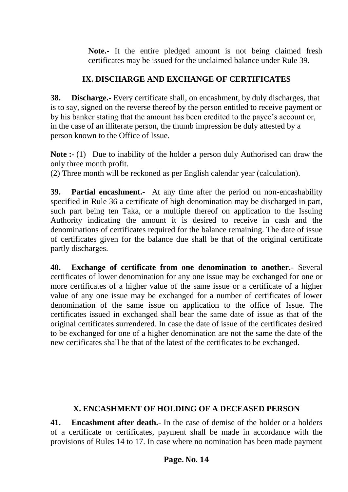**Note.-** It the entire pledged amount is not being claimed fresh certificates may be issued for the unclaimed balance under Rule 39.

# **IX. DISCHARGE AND EXCHANGE OF CERTIFICATES**

**38. Discharge.-** Every certificate shall, on encashment, by duly discharges, that is to say, signed on the reverse thereof by the person entitled to receive payment or by his banker stating that the amount has been credited to the payee's account or, in the case of an illiterate person, the thumb impression be duly attested by a person known to the Office of Issue.

**Note :-** (1) Due to inability of the holder a person duly Authorised can draw the only three month profit.

(2) Three month will be reckoned as per English calendar year (calculation).

**39. Partial encashment.-** At any time after the period on non-encashability specified in Rule 36 a certificate of high denomination may be discharged in part, such part being ten Taka, or a multiple thereof on application to the Issuing Authority indicating the amount it is desired to receive in cash and the denominations of certificates required for the balance remaining. The date of issue of certificates given for the balance due shall be that of the original certificate partly discharges.

**40. Exchange of certificate from one denomination to another.-** Several certificates of lower denomination for any one issue may be exchanged for one or more certificates of a higher value of the same issue or a certificate of a higher value of any one issue may be exchanged for a number of certificates of lower denomination of the same issue on application to the office of Issue. The certificates issued in exchanged shall bear the same date of issue as that of the original certificates surrendered. In case the date of issue of the certificates desired to be exchanged for one of a higher denomination are not the same the date of the new certificates shall be that of the latest of the certificates to be exchanged.

## **X. ENCASHMENT OF HOLDING OF A DECEASED PERSON**

**41. Encashment after death.-** In the case of demise of the holder or a holders of a certificate or certificates, payment shall be made in accordance with the provisions of Rules 14 to 17. In case where no nomination has been made payment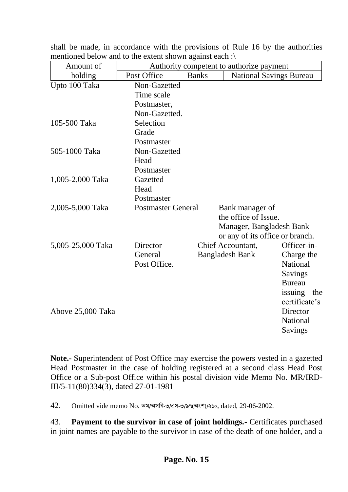| $\mu$ incritioned below and to the extent shown against each . |                                          |              |                                 |                 |
|----------------------------------------------------------------|------------------------------------------|--------------|---------------------------------|-----------------|
| Amount of                                                      | Authority competent to authorize payment |              |                                 |                 |
| holding                                                        | Post Office                              | <b>Banks</b> | <b>National Savings Bureau</b>  |                 |
| Upto 100 Taka                                                  | Non-Gazetted                             |              |                                 |                 |
|                                                                | Time scale                               |              |                                 |                 |
|                                                                | Postmaster,                              |              |                                 |                 |
|                                                                | Non-Gazetted.                            |              |                                 |                 |
| 105-500 Taka                                                   | Selection                                |              |                                 |                 |
|                                                                | Grade                                    |              |                                 |                 |
|                                                                | Postmaster                               |              |                                 |                 |
| 505-1000 Taka                                                  | Non-Gazetted                             |              |                                 |                 |
|                                                                | Head                                     |              |                                 |                 |
|                                                                | Postmaster                               |              |                                 |                 |
| 1,005-2,000 Taka                                               | Gazetted                                 |              |                                 |                 |
|                                                                | Head                                     |              |                                 |                 |
|                                                                | Postmaster                               |              |                                 |                 |
| 2,005-5,000 Taka                                               | <b>Postmaster General</b>                |              | Bank manager of                 |                 |
|                                                                |                                          |              | the office of Issue.            |                 |
|                                                                |                                          |              | Manager, Bangladesh Bank        |                 |
|                                                                |                                          |              | or any of its office or branch. |                 |
| 5,005-25,000 Taka                                              | Director                                 |              | Chief Accountant,               | Officer-in-     |
|                                                                | General                                  |              | <b>Bangladesh Bank</b>          | Charge the      |
|                                                                | Post Office.                             |              |                                 | <b>National</b> |
|                                                                |                                          |              |                                 | <b>Savings</b>  |
|                                                                |                                          |              |                                 | <b>Bureau</b>   |
|                                                                |                                          |              |                                 | issuing<br>the  |
|                                                                |                                          |              |                                 | certificate's   |
| Above 25,000 Taka                                              |                                          |              |                                 | Director        |
|                                                                |                                          |              |                                 | <b>National</b> |
|                                                                |                                          |              |                                 | Savings         |
|                                                                |                                          |              |                                 |                 |

shall be made, in accordance with the provisions of Rule 16 by the authorities mentioned below and to the extent shown against each  $\cdot$ 

**Note.-** Superintendent of Post Office may exercise the powers vested in a gazetted Head Postmaster in the case of holding registered at a second class Head Post Office or a Sub-post Office within his postal division vide Memo No. MR/IRD-III/5-11(80)334(3), dated 27-01-1981

42. Omitted vide memo No. অম/অসবি-৩/এস-৩/৯৭(অংশ)/২১০, dated, 29-06-2002.

43. **Payment to the survivor in case of joint holdings.-** Certificates purchased in joint names are payable to the survivor in case of the death of one holder, and a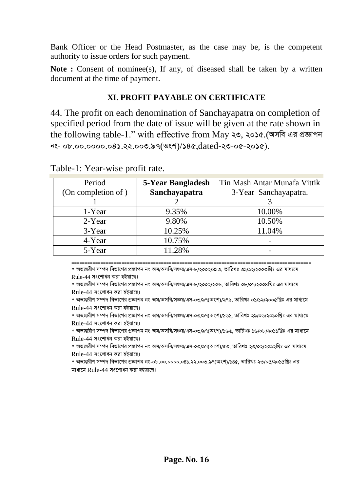Bank Officer or the Head Postmaster, as the case may be, is the competent authority to issue orders for such payment.

**Note :** Consent of nominee(s), If any, of diseased shall be taken by a written document at the time of payment.

# **XI. PROFIT PAYABLE ON CERTIFICATE**

44. The profit on each denomination of Sanchayapatra on completion of specified period from the date of issue will be given at the rate shown in the following table-1." with effective from May ২৩, ২০১৫.(অসবি এর প্রজ্ঞাপন *bs- 08.00.0000.041.22.003.97*(*Ask*)/*145,*dated-*23-05-2015).*

| Period             | 5-Year Bangladesh | Tin Mash Antar Munafa Vittik |
|--------------------|-------------------|------------------------------|
| (On completion of) | Sanchayapatra     | 3-Year Sanchayapatra.        |
|                    |                   |                              |
| 1-Year             | 9.35%             | 10.00%                       |
| $2$ -Year          | 9.80%             | 10.50%                       |
| 3-Year             | 10.25%            | 11.04%                       |
| 4-Year             | 10.75%            |                              |
| 5-Year             | 11.28%            |                              |

Table-1: Year-wise profit rate.

=========================================================================================== \* অভ্যন্তরীণ সম্পদ বিভ্াগের প্রজ্ঞাপন নং অম/অসবি/সঞ্চয়/এস-৮/২০০২/৪১৩, তাবরখঃ ৩১/১২/২০০৩বরঃ এর মাধ্যগম

Rule-44 সংগশাধন করা হইয়াগে।

\* অভ্যন্তরীণ সম্পদ বিভ্াগের প্রজ্ঞাপন নং অম/অসবি/সঞ্চয়/এস-৮/২০০২/২০৬, তাবরখঃ ০৮/০৭/২০০৪বরঃ এর মাধ্যগম Rule-44 সংগশাধন করা হইয়াগে।

\* অভ্যন্তরীণ সম্পদ বিভ্াগের প্রজ্ঞাপন নং অম/অসবি/সঞ্চয়/এস-০৩/৯৭(অংশ)/২৭৯, তাবরখঃ ০১/১২/২০০৫বরঃ এর মাধ্যগম Rule-44 সংগশাধন করা হইয়াগে।

\* অভ্যন্তরীণ সম্পদ বিভ্াগের প্রজ্ঞাপন নং অম/অসবি/সঞ্চয়/এস-০৩/৯৭(অংশ)/১৬১, তাবরখঃ ২৯/০৬/২০১০বরঃ এর মাধ্যগম Rule-44 সংগশাধন করা হইয়াগে।

\* অভ্যন্তরীণ সম্পদ বিভ্াগের প্রজ্ঞাপন নং অম/অসবি/সঞ্চয়/এস-০৩/৯৭(অংশ)/১৬৬, তাবরখঃ ১৬/০৮/২০১১বরঃ এর মাধ্যগম Rule-44 সংগশাধন করা হইয়াগে।

\* অভ্যন্তরীণ সম্পদ বিভ্াগের প্রজ্ঞাপন নং অম/অসবি/সঞ্চয়/এস-০৩/৯৭(অংশ)/৫৩, তাবরখঃ ২৩/০২/২০১২বরঃ এর মাধ্যগম Rule-44 সংগশাধন করা হইয়াগে।

\* অভ্যন্তরীণ সম্পদ বিভ্াগের প্রজ্ঞাপন নং-০৮.০০.০০০০.০৪১.২২.০০৩.৯৭(অংশ)/১৪৫, তাবরখঃ ২৩/০৫/২০১৫বরঃ এর মাধ্যগম Rule-44 সংগশাধন করা হইয়াগে।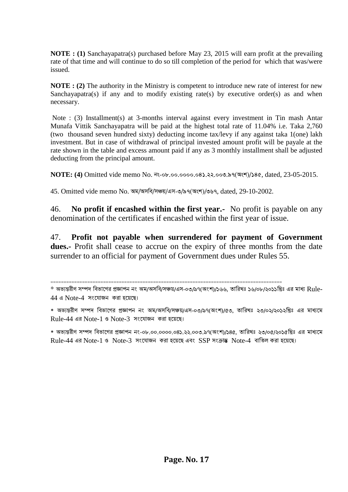**NOTE : (1)** Sanchayapatra(s) purchased before May 23, 2015 will earn profit at the prevailing rate of that time and will continue to do so till completion of the period for which that was/were issued.

**NOTE : (2)** The authority in the Ministry is competent to introduce new rate of interest for new Sanchayapatra(s) if any and to modify existing rate(s) by executive order(s) as and when necessary.

Note : (3) Installment(s) at 3-months interval against every investment in Tin mash Antar Munafa Vittik Sanchayapatra will be paid at the highest total rate of 11.04% i.e. Taka 2,760 (two thousand seven hundred sixty) deducting income tax/levy if any against taka 1(one) lakh investment. But in case of withdrawal of principal invested amount profit will be payale at the rate shown in the table and excess amount paid if any as 3 monthly installment shall be adjusted deducting from the principal amount.

**NOTE: (4)** Omitted vide memo No. *bs-08.00.0000.041.22.003.97(Ask)/145*, dated, 23-05-2015.

45. Omitted vide memo No. অম/অসবি/সঞ্চয়/এস-৩/৯৭(অংশ)/৩৬৭, dated, 29-10-2002.

========================================================================================

46. **No profit if encashed within the first year.-** No profit is payable on any denomination of the certificates if encashed within the first year of issue.

47. **Profit not payable when surrendered for payment of Government dues.-** Profit shall cease to accrue on the expiry of three months from the date surrender to an official for payment of Government dues under Rules 55.

*<sup>\*</sup>* অভ্যন্তরীণ সম্পদ বিভ্াগের প্রজ্ঞাপন নং অম/অসবি/সঞ্চয়/এস-০৩/৯৭(অংশ)/১৬৬, তাবরখঃ ১৬/০৮/২০১১বরঃ এর মাধ্য Rule- $44$  এ Note-4 সংযোজন করা হয়েছে।

<sup>\*</sup> অভ্যন্তরীণ সম্পদ বিভ্াগের প্রজ্ঞাপন নং অম/অসবি/সঞ্চয়/এস-০৩/৯৭(অংশ)/৫৩, তাবরখঃ ২৩/০২/২০১২বরঃ এর মাধ্যগম  $Rule-44$  এর Note-1 ও Note-3 সংযোজন করা হয়েছে।

<sup>\*</sup> অভ্যন্তরীণ সম্পদ বিভ্াগের প্রজ্ঞাপন নং-০৮.০০.০০০০.০৪১.২২.০০৩.৯৭(অংশ)/১৪৫, তাবরখঃ ২৩/০৫/২০১৫বরঃ এর মাধ্যগম  $Rule-44$  এর Note-1 ও *Note-3* সংযোজন করা হয়েছে এবং SSP সংক্রান্ত Note-4 বাতিল করা হয়েছে।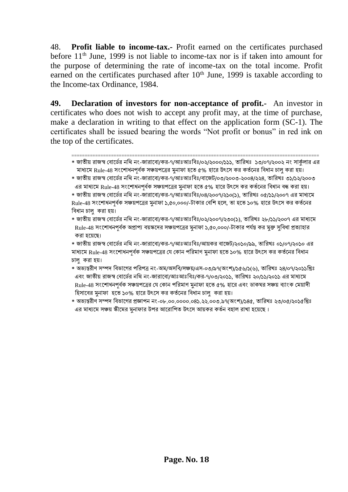48. **Profit liable to income-tax.-** Profit earned on the certificates purchased before  $11<sup>th</sup>$  June, 1999 is not liable to income-tax nor is if taken into amount for the purpose of determining the rate of income-tax on the total income. Profit earned on the certificates purchased after  $10<sup>th</sup>$  June, 1999 is taxable according to the Income-tax Ordinance, 1984.

**49. Declaration of investors for non-acceptance of profit.-** An investor in certificates who does not wish to accept any profit may, at the time of purchase, make a declaration in writing to that effect on the application form (SC-1). The certificates shall be issued bearing the words "Not profit or bonus" in red ink on the top of the certificates.

- ============================================================================================== \* জাতীয় রাজস্ব বোর্ডের নথি নং-জারাবো/কর-৭/আঃআঃবিঃ/০২/২০০০/১১১, তারিখঃ ১৩/০৭/২০০২ নং সার্কুলার এর মাধ্যমে Rule-48 সংশোধনপর্বক সঞ্চয়পত্রের মনাফা হতে ৫% হারে উৎসে কর কর্তনের বিধান চালু করা হয়।
- \* জাতীয় রাজস্ব বোর্ডের নথি নং-জারাবো/কর-৭/আঃআঃবিঃ/বাজেট/০৩/২০০৩-২০০৪/২২৪, তারিখঃ ৩১/১২/২০০৩ এর মাধ্যমে Rule-48 সংশোধনপর্বক সঞ্চয়পত্রের মুনাফা হতে ৫% হারে উৎসে কর কর্তনের বিধান বন্ধ করা হয়।
- \* জাতীয় রাজস্ব বোর্ডের নথি নং-জারাবো/কর-৭/আঃআঃবিঃ/০৪/২০০৭/২১০(১), তারিখঃ ০৫/১১/২০০৭ এর মাধ্যমে Rule-48 সংশোধনপর্বক সঞ্চয়পত্রের মনাফা ১,৫০,০০০/-টাকার বেশি হলে, তা হতে ১০% হারে উৎসে কর কর্তনের বিধান চালু করা হয়।
- \* জাতীয় রাজস্ব বোর্ডের নথি নং-জারাবো/কর-৭/আঃআঃবিঃ/০২/২০০৭/২৩০(১), তারিখঃ ২৮/১১/২০০৭ এর মাধ্যমে Rule-48 সংশোধনপূর্বক অপ্রাপ্য বয়স্কদের সঞ্চয়পত্রের মনাফা ১,৫০,০০০/-টাকার পর্যন্ত কর মুক্ত সুবিধা প্রত্যাহার করা হগয়গে।
- \* জাতীয় রাজস্ব বোর্ডের নথি নং-জারাবো/কর-৭/আঃআঃবিঃ/আয়কর বাজেট/২০১০/৯৯, তারিখঃ ০১/০৭/২০১০ এর মাধ্যমে Rule-48 সংশোধনপূর্বক সঞ্চয়পত্রের যে কোন পরিমাণ মুনাফা হতে ১০% হারে উৎসে কর কর্তনের বিধান চালু করা হয়।
- \* অভ্যন্তরীণ সম্পদ বিভ্াগের পবরপত্র নং-অম/অসবি/সঞ্চয়/এস-০৩/৯৭(অংশ)/১৫৬/১(৬), তাবরখঃ ২৪/০৭/২০১১বরঃ এবং জাতীয় রাজস্ব বোর্ডের নথি নং-জারাবো/আঃআঃবিঃ/কর-৭/০৩/২০১১, তারিখঃ ২০/১১/২০১১ এর মাধ্যমে Rule-48 সংশোধনপূর্বক সঞ্চয়পত্রের যে কোন পরিমাণ মুনাফা হতে ৫% হারে এবং ডাকঘর সঞ্চয় ব্যাংক মেয়াদী হিসাবের মনাফা হতে ১০% হারে উৎসে কর কর্তনের বিধান চালু করা হয়।
- \* অভ্যন্তরীণ সম্পদ বিভ্াগের প্রজ্ঞাপন নং-০৮.০০.০০০০.০৪১.২২.০০৩.৯৭(অংশ)/১৪৫, তাবরখঃ ২৩/০৫/২০১৫বরঃ এর মাধ্যমে সঞ্চয় স্কীমের মুনাফার উপর আরোপিত উৎসে আয়কর কর্তন বহাল রাখা হয়েছে ।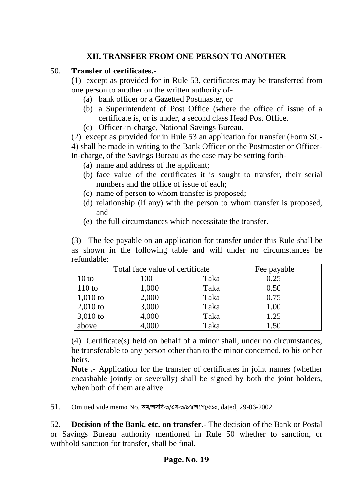## **XII. TRANSFER FROM ONE PERSON TO ANOTHER**

### 50. **Transfer of certificates.-**

(1) except as provided for in Rule 53, certificates may be transferred from one person to another on the written authority of-

- (a) bank officer or a Gazetted Postmaster, or
- (b) a Superintendent of Post Office (where the office of issue of a certificate is, or is under, a second class Head Post Office.
- (c) Officer-in-charge, National Savings Bureau.

(2) except as provided for in Rule 53 an application for transfer (Form SC-4) shall be made in writing to the Bank Officer or the Postmaster or Officerin-charge, of the Savings Bureau as the case may be setting forth-

- (a) name and address of the applicant;
- (b) face value of the certificates it is sought to transfer, their serial numbers and the office of issue of each;
- (c) name of person to whom transfer is proposed;
- (d) relationship (if any) with the person to whom transfer is proposed, and
- (e) the full circumstances which necessitate the transfer.

(3) The fee payable on an application for transfer under this Rule shall be as shown in the following table and will under no circumstances be refundable:

|                | Total face value of certificate |      | Fee payable |
|----------------|---------------------------------|------|-------------|
| $10$ to        | 100                             | Taka | 0.25        |
| $\vert$ 110 to | 1,000                           | Taka | 0.50        |
| 1,010 to       | 2,000                           | Taka | 0.75        |
| 2,010 to       | 3,000                           | Taka | 1.00        |
| $3,010$ to     | 4,000                           | Taka | 1.25        |
| above          | 4,000                           | Taka | 1.50        |

(4) Certificate(s) held on behalf of a minor shall, under no circumstances, be transferable to any person other than to the minor concerned, to his or her heirs.

**Note .-** Application for the transfer of certificates in joint names (whether encashable jointly or severally) shall be signed by both the joint holders, when both of them are alive.

51. Omitted vide memo No. অম/অসবি-৩/এস-৩/৯৭(অংশ)/২১০, dated, 29-06-2002.

52. **Decision of the Bank, etc. on transfer.-** The decision of the Bank or Postal or Savings Bureau authority mentioned in Rule 50 whether to sanction, or withhold sanction for transfer, shall be final.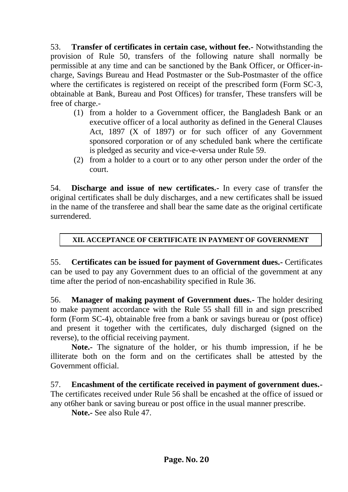53. **Transfer of certificates in certain case, without fee.-** Notwithstanding the provision of Rule 50, transfers of the following nature shall normally be permissible at any time and can be sanctioned by the Bank Officer, or Officer-incharge, Savings Bureau and Head Postmaster or the Sub-Postmaster of the office where the certificates is registered on receipt of the prescribed form (Form SC-3, obtainable at Bank, Bureau and Post Offices) for transfer, These transfers will be free of charge.-

- (1) from a holder to a Government officer, the Bangladesh Bank or an executive officer of a local authority as defined in the General Clauses Act, 1897 (X of 1897) or for such officer of any Government sponsored corporation or of any scheduled bank where the certificate is pledged as security and vice-e-versa under Rule 59.
- (2) from a holder to a court or to any other person under the order of the court.

54. **Discharge and issue of new certificates.-** In every case of transfer the original certificates shall be duly discharges, and a new certificates shall be issued in the name of the transferee and shall bear the same date as the original certificate surrendered.

#### **XII. ACCEPTANCE OF CERTIFICATE IN PAYMENT OF GOVERNMENT DUE.**

55. **Certificates can be issued for payment of Government dues.-** Certificates can be used to pay any Government dues to an official of the government at any time after the period of non-encashability specified in Rule 36.

56. **Manager of making payment of Government dues.-** The holder desiring to make payment accordance with the Rule 55 shall fill in and sign prescribed form (Form SC-4), obtainable free from a bank or savings bureau or (post office) and present it together with the certificates, duly discharged (signed on the reverse), to the official receiving payment.

**Note.-** The signature of the holder, or his thumb impression, if he be illiterate both on the form and on the certificates shall be attested by the Government official.

57. **Encashment of the certificate received in payment of government dues.-** The certificates received under Rule 56 shall be encashed at the office of issued or any ot6her bank or saving bureau or post office in the usual manner prescribe.

**Note.-** See also Rule 47.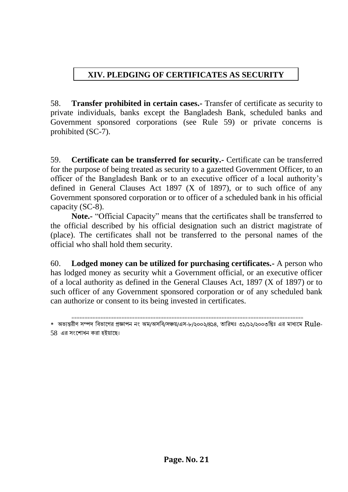# **XIV. PLEDGING OF CERTIFICATES AS SECURITY**

58. **Transfer prohibited in certain cases.-** Transfer of certificate as security to private individuals, banks except the Bangladesh Bank, scheduled banks and Government sponsored corporations (see Rule 59) or private concerns is prohibited (SC-7).

59. **Certificate can be transferred for security.-** Certificate can be transferred for the purpose of being treated as security to a gazetted Government Officer, to an officer of the Bangladesh Bank or to an executive officer of a local authority's defined in General Clauses Act 1897 (X of 1897), or to such office of any Government sponsored corporation or to officer of a scheduled bank in his official capacity (SC-8).

**Note.-** "Official Capacity" means that the certificates shall be transferred to the official described by his official designation such an district magistrate of (place). The certificates shall not be transferred to the personal names of the official who shall hold them security.

60. **Lodged money can be utilized for purchasing certificates.-** A person who has lodged money as security whit a Government official, or an executive officer of a local authority as defined in the General Clauses Act, 1897 (X of 1897) or to such officer of any Government sponsored corporation or of any scheduled bank can authorize or consent to its being invested in certificates.

<sup>========================================================================================</sup> \* অভ্যন্তরীণ সম্পদ বিভ্াগের প্রজ্ঞাপন নং অম/অসবি/সঞ্চয়/এস-৮/২০০২/৪১৪, তাবরখঃ ৩১/১২/২০০৩বরঃ এর মাধ্যগম Rule-58 এর সংগশাধন করা হইয়াগে।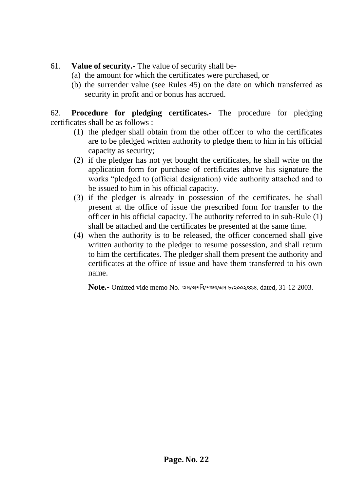### 61. **Value of security.-** The value of security shall be-

- (a) the amount for which the certificates were purchased, or
- (b) the surrender value (see Rules 45) on the date on which transferred as security in profit and or bonus has accrued.

62. **Procedure for pledging certificates.-** The procedure for pledging certificates shall be as follows :

- (1) the pledger shall obtain from the other officer to who the certificates are to be pledged written authority to pledge them to him in his official capacity as security;
- (2) if the pledger has not yet bought the certificates, he shall write on the application form for purchase of certificates above his signature the works "pledged to (official designation) vide authority attached and to be issued to him in his official capacity.
- (3) if the pledger is already in possession of the certificates, he shall present at the office of issue the prescribed form for transfer to the officer in his official capacity. The authority referred to in sub-Rule (1) shall be attached and the certificates be presented at the same time.
- (4) when the authority is to be released, the officer concerned shall give written authority to the pledger to resume possession, and shall return to him the certificates. The pledger shall them present the authority and certificates at the office of issue and have them transferred to his own name.

**Note.-** Omitted vide memo No. অম/অসবি/সঞ্চয়/এস-৮/২০০২/৪১৪, dated, 31-12-2003.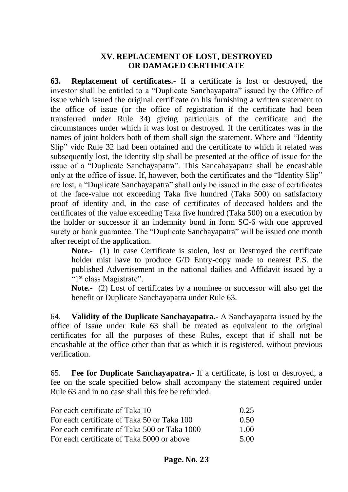#### **XV. REPLACEMENT OF LOST, DESTROYED OR DAMAGED CERTIFICATE**

**63. Replacement of certificates.-** If a certificate is lost or destroyed, the investor shall be entitled to a "Duplicate Sanchayapatra" issued by the Office of issue which issued the original certificate on his furnishing a written statement to the office of issue (or the office of registration if the certificate had been transferred under Rule 34) giving particulars of the certificate and the circumstances under which it was lost or destroyed. If the certificates was in the names of joint holders both of them shall sign the statement. Where and "Identity Slip" vide Rule 32 had been obtained and the certificate to which it related was subsequently lost, the identity slip shall be presented at the office of issue for the issue of a "Duplicate Sanchayapatra". This Sancahayapatra shall be encashable only at the office of issue. If, however, both the certificates and the "Identity Slip" are lost, a "Duplicate Sanchayapatra" shall only be issued in the case of certificates of the face-value not exceeding Taka five hundred (Taka 500) on satisfactory proof of identity and, in the case of certificates of deceased holders and the certificates of the value exceeding Taka five hundred (Taka 500) on a execution by the holder or successor if an indemnity bond in form SC-6 with one approved surety or bank guarantee. The "Duplicate Sanchayapatra" will be issued one month after receipt of the application.

**Note.-** (1) In case Certificate is stolen, lost or Destroyed the certificate holder mist have to produce G/D Entry-copy made to nearest P.S. the published Advertisement in the national dailies and Affidavit issued by a "1<sup>st</sup> class Magistrate".

**Note.-** (2) Lost of certificates by a nominee or successor will also get the benefit or Duplicate Sanchayapatra under Rule 63.

64. **Validity of the Duplicate Sanchayapatra.-** A Sanchayapatra issued by the office of Issue under Rule 63 shall be treated as equivalent to the original certificates for all the purposes of these Rules, except that if shall not be encashable at the office other than that as which it is registered, without previous verification.

65. **Fee for Duplicate Sanchayapatra.-** If a certificate, is lost or destroyed, a fee on the scale specified below shall accompany the statement required under Rule 63 and in no case shall this fee be refunded.

| For each certificate of Taka 10               | 0.25 |
|-----------------------------------------------|------|
| For each certificate of Taka 50 or Taka 100   | 0.50 |
| For each certificate of Taka 500 or Taka 1000 | 1.00 |
| For each certificate of Taka 5000 or above    | 5.00 |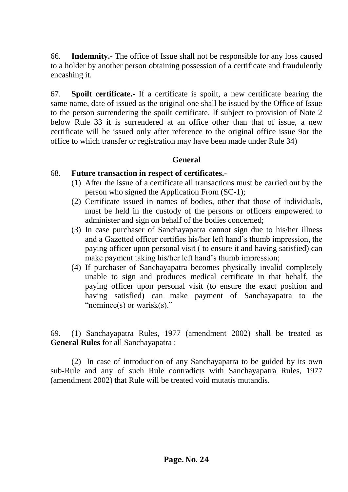66. **Indemnity.-** The office of Issue shall not be responsible for any loss caused to a holder by another person obtaining possession of a certificate and fraudulently encashing it.

67. **Spoilt certificate.-** If a certificate is spoilt, a new certificate bearing the same name, date of issued as the original one shall be issued by the Office of Issue to the person surrendering the spoilt certificate. If subject to provision of Note 2 below Rule 33 it is surrendered at an office other than that of issue, a new certificate will be issued only after reference to the original office issue 9or the office to which transfer or registration may have been made under Rule 34)

#### **General**

#### 68. **Future transaction in respect of certificates.-**

- (1) After the issue of a certificate all transactions must be carried out by the person who signed the Application From (SC-1);
- (2) Certificate issued in names of bodies, other that those of individuals, must be held in the custody of the persons or officers empowered to administer and sign on behalf of the bodies concerned;
- (3) In case purchaser of Sanchayapatra cannot sign due to his/her illness and a Gazetted officer certifies his/her left hand's thumb impression, the paying officer upon personal visit ( to ensure it and having satisfied) can make payment taking his/her left hand's thumb impression;
- (4) If purchaser of Sanchayapatra becomes physically invalid completely unable to sign and produces medical certificate in that behalf, the paying officer upon personal visit (to ensure the exact position and having satisfied) can make payment of Sanchayapatra to the "nominee(s) or warisk(s)."

69. (1) Sanchayapatra Rules, 1977 (amendment 2002) shall be treated as **General Rules** for all Sanchayapatra :

(2) In case of introduction of any Sanchayapatra to be guided by its own sub-Rule and any of such Rule contradicts with Sanchayapatra Rules, 1977 (amendment 2002) that Rule will be treated void mutatis mutandis.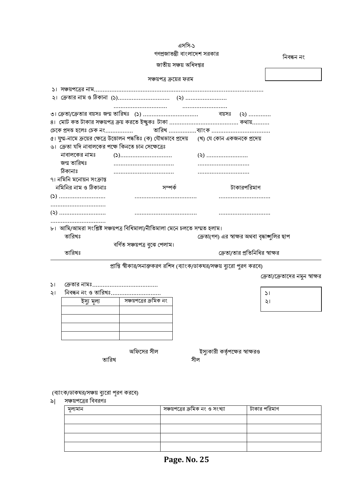| সঞ্চয়পত্রের বিবরণঃ |                                 |              |  |
|---------------------|---------------------------------|--------------|--|
| মূল্যমান            | সঞ্চয়পত্রের ক্রমিক নং ও সংখ্যা | টাকার পরিমাণ |  |
|                     |                                 |              |  |
|                     |                                 |              |  |
|                     |                                 |              |  |
|                     |                                 |              |  |

৯| সঞ্চয়পত্রের বিবরণঃ

১। নক্রতার নামঃ...................................... ২। নিবন্ধন ন<u>ং ও তারিখঃ.........................</u>..

(ব্যাংক/ডাকঘর/সঞ্চয় ব্যুরো পূরণ করবে)

তাবরখ সীল

ইসুয মূল্য সঞ্চয়পগত্রর ক্রবমক নং

অফিসের সীল বিজি বিস্থা ইস্যুকারী কর্তৃপক্ষের স্বাক্ষরও

১। ২।

নক্রতা/গক্রতাগদর নমুন স্বাক্ষর

প্রাপ্তি স্বীকার/সনাক্তকরণ রশিদ (ব্যাংক/ডাকঘর/সঞ্চয় ব্যুরো পুরণ করবে)

|                                                    | গণপ্রজাতন্ত্রী বাংলাদেশ সরকার                                                                     |                                               | নিবন্ধন নং |
|----------------------------------------------------|---------------------------------------------------------------------------------------------------|-----------------------------------------------|------------|
|                                                    |                                                                                                   |                                               |            |
|                                                    |                                                                                                   |                                               |            |
|                                                    | সঞ্চয়পত্র ক্রয়ের ফরম                                                                            |                                               |            |
|                                                    |                                                                                                   |                                               |            |
|                                                    |                                                                                                   |                                               |            |
|                                                    |                                                                                                   |                                               |            |
|                                                    |                                                                                                   |                                               |            |
|                                                    |                                                                                                   |                                               |            |
|                                                    |                                                                                                   |                                               |            |
|                                                    | ৫। যুগ্ম-নামে ক্রয়ের ক্ষেত্রে উত্তোলন পদ্ধতিঃ (ক) যৌথভাবে প্রদেয়      (খ) যে কোন একজনকে প্রদেয় |                                               |            |
| ৬। ক্রেতা যদি নাবালকের পক্ষে কিনতে চান সেক্ষেত্রেঃ |                                                                                                   |                                               |            |
|                                                    |                                                                                                   |                                               |            |
| জন্ম তারিখঃ                                        |                                                                                                   |                                               |            |
| ঠিকানাঃ                                            |                                                                                                   |                                               |            |
| ৭। নমিনি মনোয়ন সংক্রান্ত                          |                                                                                                   |                                               |            |
| নমিনির নাম ও ঠিকানাঃ                               | সম্পৰ্ক                                                                                           | টাকারপরিমাণ                                   |            |
|                                                    |                                                                                                   |                                               |            |
|                                                    |                                                                                                   |                                               |            |
|                                                    |                                                                                                   |                                               |            |
|                                                    |                                                                                                   |                                               |            |
|                                                    | ৮।  আমি/আমরা সংশ্লিষ্ট সঞ্চয়পত্র বিধিমালা/নীতিমালা মেনে চলতে সম্মত হলাম।                         |                                               |            |
| তারিখঃ                                             |                                                                                                   | ক্রেতা(গণ) এর স্বাক্ষর অথবা বৃদ্ধাঙ্গুলির ছাপ |            |
|                                                    | বৰ্ণিত সঞ্চয়পত্ৰ বুঝে পেলাম।                                                                     |                                               |            |
| তারিখঃ                                             |                                                                                                   | ক্রেতা/তার প্রতিনিধির স্বাক্ষর                |            |

এসবস-১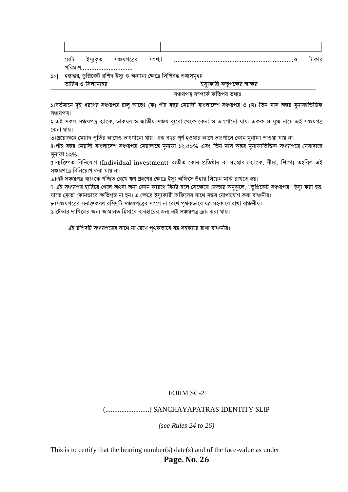| মোচ | ଦାଦ | সংখ্যা | v. |  |
|-----|-----|--------|----|--|
|     |     |        |    |  |

10| হস্তান্তর, ডুবিগকট রবশদ ইসুয ও অন্যান্য নক্ষগত্র বলবপিদ্ধ তথ্যসমূহঃ

ইস্যকারী কর্তৃপক্ষের স্বাক্ষর তারিখ ও সিলমোহর

#### সঞ্চয়পত্র সম্পর্কে কতিপয় তথ্যঃ

১।বর্তমানে দুই ধরণের সঞ্চয়পত্র চালু আছেঃ (ক) পাঁচ বছর মেয়াদী বাংলাদেশ সঞ্চয়পত্র ও (খ) তিন মাস অন্তর মনাফাভিত্তিক সঞ্চয়পত্র।

২।এই সকল সঞ্চয়পত্র ব্াংক, ডাকঘর ও জাতীয় সঞ্চয় বুযগরা নিগক নকনা ও ভ্াংোগনা ায়। একক ও যুগ্ম-নাগম এই সঞ্চয়পত্র কেনা যায়।

৩।প্রয়োজনে মেয়াদ পর্তির আগেও ভাংগানো যায়। এক বছর পর্ণ হওয়ার আগে ভাংগালে কোন মুনাফা পাওয়া যায় না।

৪।পাঁচ বছর মেয়াদী বাংলাদেশ সঞ্চয়পত্র মেয়াদান্তে মুনাফা ১২.৫০% এবং তিন মাস অন্তর মুনাফাভিত্তিক সঞ্চয়পত্রে মেয়াদান্তে মনাফা ১২%।

৫।ব্যক্তিগত বিনিয়োগ (Individual investment) ব্যতীত কোন প্রতিষ্ঠান বা সংস্থার (ব্যাংক, বীমা, শিক্ষা) তহবিল এই সঞ্চয়পত্রে বিনিয়ােগ করা যায় না।

৬।এই সঞ্চয়পত্র ব্যাংকে গচ্ছিত রেখে ঋণ গ্রহণের ক্ষেত্রে ইস্যু অফিসে উহার লিয়েন মার্ক রাখতে হয়।

৭।এই সঞ্চয়পত্র হারিয়ে গেলে অথবা অন্য কোন কারণে বিনষ্ট হলে সেক্ষেত্রে ক্রেতার অনুকূলে, "ডুপ্লিকেট সঞ্চয়পত্র" ইস্যু করা হয়, যাতে ক্রেতা কোনভাবে ক্ষতিগ্রস্ত না হন। এ ক্ষেত্রে ইস্যকারী অফিসের সাথে সত্তর যোগাযোগ করা বাঞ্চনীয়।

৮।সঞ্চয়পগত্রর সনাক্তকরণ রবশদটি সঞ্চয়পগত্রর সংগে না নরগখ পৃিকভ্াগি ত্ন সহকাগর রাখা িাঞ্চনীয়।

৯।টেন্ডার দাখিলের জন্য জামানত হিসাবে ব্যবহারের জন্য এই সঞ্চয়পত্র ক্রয় করা যায়।

এই রশিদটি সঞ্চয়পত্রের সাথে না রেখে পথকভাবে যত্ন সহকারে রাখা বাঞ্চনীয়।

#### FORM SC-2

#### (.........................) SANCHAYAPATRAS IDENTITY SLIP

*(see Rules 24 to 26)*

**Page. No. 26** This is to certify that the bearing number(s) date(s) and of the face-value as under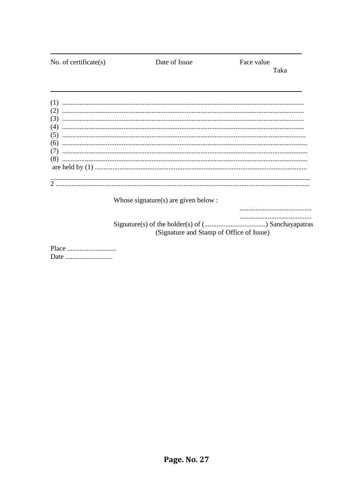No. of certificate $(s)$ Date of Issue Face value Taka Whose signature(s) are given below : (Signature and Stamp of Office of Issue)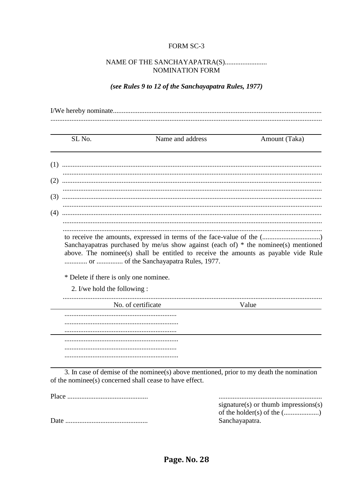#### FORM SC-3

#### NOMINATION FORM

#### (see Rules 9 to 12 of the Sanchayapatra Rules, 1977)

|     | SL No.                                 | Name and address                                                                                                                                                                                                      |                | Amount (Taka)                        |
|-----|----------------------------------------|-----------------------------------------------------------------------------------------------------------------------------------------------------------------------------------------------------------------------|----------------|--------------------------------------|
|     |                                        |                                                                                                                                                                                                                       |                |                                      |
|     |                                        |                                                                                                                                                                                                                       |                |                                      |
|     |                                        |                                                                                                                                                                                                                       |                |                                      |
|     |                                        |                                                                                                                                                                                                                       |                |                                      |
|     |                                        |                                                                                                                                                                                                                       |                |                                      |
| (4) |                                        |                                                                                                                                                                                                                       |                |                                      |
|     | * Delete if there is only one nominee. | Sanchayapatras purchased by me/us show against (each of) $*$ the nominee(s) mentioned<br>above. The nominee(s) shall be entitled to receive the amounts as payable vide Rule<br>or  of the Sanchayapatra Rules, 1977. |                |                                      |
|     | 2. I/we hold the following :           |                                                                                                                                                                                                                       |                |                                      |
|     |                                        | No. of certificate                                                                                                                                                                                                    | Value          |                                      |
|     |                                        |                                                                                                                                                                                                                       |                |                                      |
|     |                                        | 3. In case of demise of the nomines (s) above mentioned, prior to my death the nomination<br>of the nominee(s) concerned shall cease to have effect.                                                                  |                |                                      |
|     |                                        |                                                                                                                                                                                                                       | Sanchayapatra. | signature(s) or thumb impressions(s) |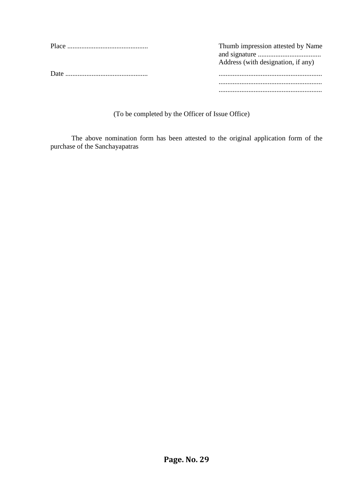| Thumb impression attested by Name<br>Address (with designation, if any) |
|-------------------------------------------------------------------------|
|                                                                         |
|                                                                         |
|                                                                         |

(To be completed by the Officer of Issue Office)

The above nomination form has been attested to the original application form of the purchase of the Sanchayapatras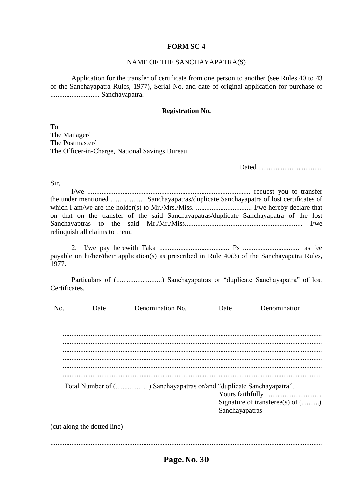#### **FORM SC-4**

#### NAME OF THE SANCHAYAPATRA(S)

Application for the transfer of certificate from one person to another (see Rules 40 to 43 of the Sanchayapatra Rules, 1977), Serial No. and date of original application for purchase of ............................ Sanchayapatra.

#### **Registration No.**

To The Manager/ The Postmaster/ The Officer-in-Charge, National Savings Bureau.

Dated ....................................

Sir,

I/we ............................................................................................. request you to transfer the under mentioned .................... Sanchayapatras/duplicate Sanchayapatra of lost certificates of which I am/we are the holder(s) to Mr./Mrs./Miss. ................................ I/we hereby declare that on that on the transfer of the said Sanchayapatras/duplicate Sanchayapatra of the lost Sanchayaptras to the said Mr./Mr./Miss................................................................... I/we relinquish all claims to them.

2. I/we pay herewith Taka ........................................ Ps ................................. as fee payable on hi/her/their application(s) as prescribed in Rule 40(3) of the Sanchayapatra Rules, 1977.

Particulars of (..........................) Sanchayapatras or "duplicate Sanchayapatra" of lost Certificates.

| No. | Date                        | Denomination No.                                                    | Date           | Denomination                     |
|-----|-----------------------------|---------------------------------------------------------------------|----------------|----------------------------------|
|     |                             |                                                                     |                |                                  |
|     |                             |                                                                     |                |                                  |
|     |                             |                                                                     |                |                                  |
|     |                             |                                                                     |                |                                  |
|     |                             |                                                                     |                |                                  |
|     |                             |                                                                     |                |                                  |
|     |                             |                                                                     |                |                                  |
|     |                             | Total Number of () Sanchayapatras or/and "duplicate Sanchayapatra". |                |                                  |
|     |                             |                                                                     |                |                                  |
|     |                             |                                                                     |                | Signature of transferee(s) of () |
|     |                             |                                                                     | Sanchayapatras |                                  |
|     | (cut along the dotted line) |                                                                     |                |                                  |

...........................................................................................................................................................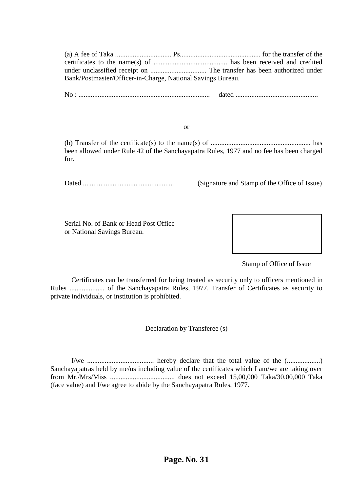| Bank/Postmaster/Officer-in-Charge, National Savings Bureau. |  |
|-------------------------------------------------------------|--|

No : ........................................................................... dated ...............................................

#### or

(b) Transfer of the certificate(s) to the name(s) of ......................................................... has been allowed under Rule 42 of the Sanchayapatra Rules, 1977 and no fee has been charged for.

Dated .................................................... (Signature and Stamp of the Office of Issue)

Serial No. of Bank or Head Post Office or National Savings Bureau.



Stamp of Office of Issue

Certificates can be transferred for being treated as security only to officers mentioned in Rules .................... of the Sanchayapatra Rules, 1977. Transfer of Certificates as security to private individuals, or institution is prohibited.

Declaration by Transferee (s)

I/we ...................................... hereby declare that the total value of the (...................) Sanchayapatras held by me/us including value of the certificates which I am/we are taking over from Mr./Mrs/Miss ..................................... does not exceed 15,00,000 Taka/30,00,000 Taka (face value) and I/we agree to abide by the Sanchayapatra Rules, 1977.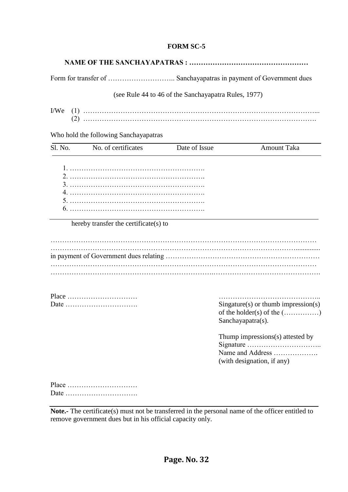#### **FORM SC-5**

|--|--|

Form for transfer of ……………………….. Sanchayapatras in payment of Government dues

(see Rule 44 to 46 of the Sanchayapatra Rules, 1977)

| I/We |  |
|------|--|
|      |  |

Who hold the following Sanchayapatras

| Sl. No. | No. of certificates                   | Date of Issue | <b>Amount Taka</b>                                                                       |
|---------|---------------------------------------|---------------|------------------------------------------------------------------------------------------|
|         |                                       |               |                                                                                          |
|         | hereby transfer the certificate(s) to |               |                                                                                          |
|         |                                       |               |                                                                                          |
|         |                                       |               |                                                                                          |
|         |                                       |               |                                                                                          |
|         | Place<br>Date                         |               | $Singature(s)$ or thumb impression(s)<br>of the holder(s) of the ()<br>Sanchayapatra(s). |
|         |                                       |               | Thump impressions(s) attested by<br>Name and Address<br>(with designation, if any)       |
|         | Place                                 |               |                                                                                          |

**Note.-** The certificate(s) must not be transferred in the personal name of the officer entitled to remove government dues but in his official capacity only.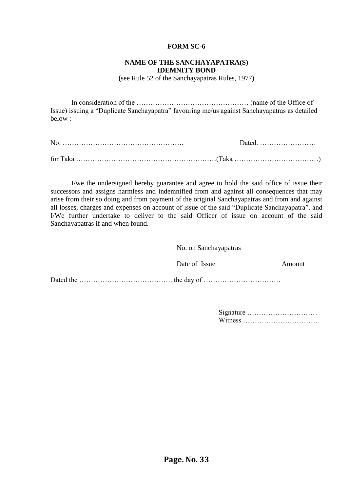#### **FORM SC-6**

#### **NAME OF THE SANCHAYAPATRA(S) IDEMNITY BOND**

**(**see Rule 52 of the Sanchayapatras Rules, 1977)

In consideration of the ………………………………………… (name of the Office of Issue) issuing a "Duplicate Sanchayapatra" favouring me/us against Sanchayapatras as detailed below :

| No |  |
|----|--|
|    |  |

I/we the undersigned hereby guarantee and agree to hold the said office of issue their successors and assigns harmless and indemnified from and against all consequences that may arise from their so doing and from payment of the original Sanchayapatras and from and against all losses, charges and expenses on account of issue of the said "Duplicate Sanchayapatra". and I/We further undertake to deliver to the said Officer of issue on account of the said Sanchayapatras if and when found.

| No. on Sanchayapatras |        |
|-----------------------|--------|
| Date of Issue         | Amount |
|                       |        |

| Signature |  |  |  |  |  |  |  |  |  |  |  |  |
|-----------|--|--|--|--|--|--|--|--|--|--|--|--|
|           |  |  |  |  |  |  |  |  |  |  |  |  |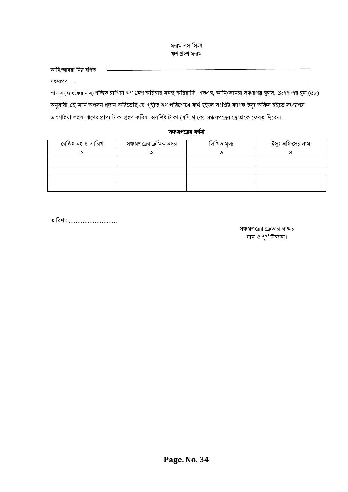ফরম এস বস-৭ ঋণ গ্রহণ ফরম

| আমি/আমরা নিয় বর্ণিত                                                                                                  |
|-----------------------------------------------------------------------------------------------------------------------|
| সঞ্চয়পত্ৰ                                                                                                            |
| শাখায় (ব্যাংকের নাম) গচ্ছিত রাখিয়া ঋণ গ্রহণ করিবার মনস্থ করিয়াছি। এতএব, আমি/আমরা সঞ্চয়পত্র রুলস, ১৯৭৭ এর রুল (৫৮) |

অনুযায়ী এই মর্মে অপসন প্রদান করিতেছি যে, গৃহীত ঋণ পরিশোধে ব্যর্থ হইলে সংশ্লিষ্ট ব্যাংক ইস্যু অফিস হইতে সঞ্চয়পত্র ভাংগাইয়া লইয়া ঋণের প্রাপ্য টাকা গ্রহণ করিয়া অবশিষ্ট টাকা (যদি থাকে) সঞ্চয়পত্রের ক্রেতাকে ফেরত দিবেন।

#### সঞ্চয়পত্রের বর্ণনা

| রেজিঃ নং ও তারিখ | সঞ্চয়পত্রের ক্রমিক নম্বর | লিখিত মল্য | ইস্যু অফিসের নাম |
|------------------|---------------------------|------------|------------------|
|                  |                           |            |                  |
|                  |                           |            |                  |
|                  |                           |            |                  |
|                  |                           |            |                  |
|                  |                           |            |                  |

তারিখঃ ...........................

সঞ্চয়পগত্রর নক্রতার স্বাক্ষর নাম ও পূণ ধঠিকানা।